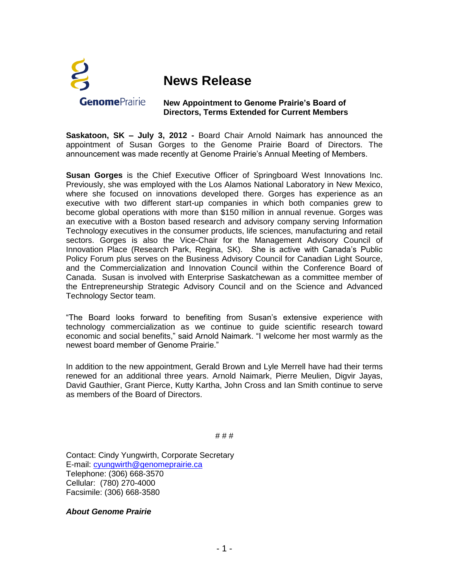

## **News Release**

## **New Appointment to Genome Prairie's Board of Directors, Terms Extended for Current Members**

**Saskatoon, SK – July 3, 2012 -** Board Chair Arnold Naimark has announced the appointment of Susan Gorges to the Genome Prairie Board of Directors. The announcement was made recently at Genome Prairie's Annual Meeting of Members.

**Susan Gorges** is the Chief Executive Officer of Springboard West Innovations Inc. Previously, she was employed with the Los Alamos National Laboratory in New Mexico, where she focused on innovations developed there. Gorges has experience as an executive with two different start-up companies in which both companies grew to become global operations with more than \$150 million in annual revenue. Gorges was an executive with a Boston based research and advisory company serving Information Technology executives in the consumer products, life sciences, manufacturing and retail sectors. Gorges is also the Vice-Chair for the Management Advisory Council of Innovation Place (Research Park, Regina, SK). She is active with Canada's Public Policy Forum plus serves on the Business Advisory Council for Canadian Light Source, and the Commercialization and Innovation Council within the Conference Board of Canada. Susan is involved with Enterprise Saskatchewan as a committee member of the Entrepreneurship Strategic Advisory Council and on the Science and Advanced Technology Sector team.

"The Board looks forward to benefiting from Susan's extensive experience with technology commercialization as we continue to guide scientific research toward economic and social benefits," said Arnold Naimark. "I welcome her most warmly as the newest board member of Genome Prairie."

In addition to the new appointment, Gerald Brown and Lyle Merrell have had their terms renewed for an additional three years. Arnold Naimark, Pierre Meulien, Digvir Jayas, David Gauthier, Grant Pierce, Kutty Kartha, John Cross and Ian Smith continue to serve as members of the Board of Directors.

# # #

Contact: Cindy Yungwirth, Corporate Secretary E-mail: [cyungwirth@genomeprairie.ca](mailto:cyungwirth@genomeprairie.ca) Telephone: (306) 668-3570 Cellular: (780) 270-4000 Facsimile: (306) 668-3580

*About Genome Prairie*